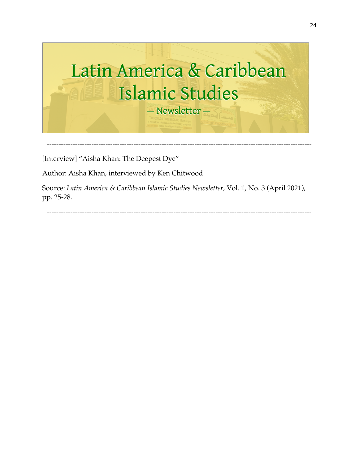

[Interview] "Aisha Khan: The Deepest Dye"

Author: Aisha Khan, interviewed by Ken Chitwood

Source: *Latin America & Caribbean Islamic Studies Newsletter,* Vol. 1, No. 3 (April 2021), pp. 25-28.

-----------------------------------------------------------------------------------------------------------------

24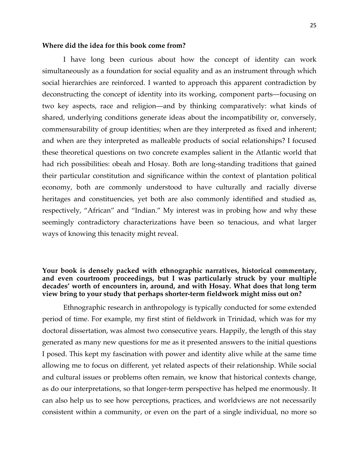#### **Where did the idea for this book come from?**

I have long been curious about how the concept of identity can work simultaneously as a foundation for social equality and as an instrument through which social hierarchies are reinforced. I wanted to approach this apparent contradiction by deconstructing the concept of identity into its working, component parts—focusing on two key aspects, race and religion—and by thinking comparatively: what kinds of shared, underlying conditions generate ideas about the incompatibility or, conversely, commensurability of group identities; when are they interpreted as fixed and inherent; and when are they interpreted as malleable products of social relationships? I focused these theoretical questions on two concrete examples salient in the Atlantic world that had rich possibilities: obeah and Hosay. Both are long-standing traditions that gained their particular constitution and significance within the context of plantation political economy, both are commonly understood to have culturally and racially diverse heritages and constituencies, yet both are also commonly identified and studied as, respectively, "African" and "Indian." My interest was in probing how and why these seemingly contradictory characterizations have been so tenacious, and what larger ways of knowing this tenacity might reveal.

## **Your book is densely packed with ethnographic narratives, historical commentary, and even courtroom proceedings, but I was particularly struck by your multiple decades' worth of encounters in, around, and with Hosay. What does that long term view bring to your study that perhaps shorter-term fieldwork might miss out on?**

Ethnographic research in anthropology is typically conducted for some extended period of time. For example, my first stint of fieldwork in Trinidad, which was for my doctoral dissertation, was almost two consecutive years. Happily, the length of this stay generated as many new questions for me as it presented answers to the initial questions I posed. This kept my fascination with power and identity alive while at the same time allowing me to focus on different, yet related aspects of their relationship. While social and cultural issues or problems often remain, we know that historical contexts change, as do our interpretations, so that longer-term perspective has helped me enormously. It can also help us to see how perceptions, practices, and worldviews are not necessarily consistent within a community, or even on the part of a single individual, no more so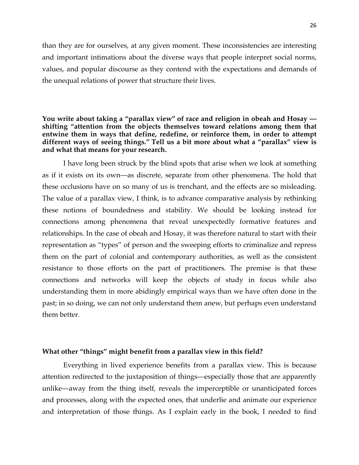than they are for ourselves, at any given moment. These inconsistencies are interesting and important intimations about the diverse ways that people interpret social norms, values, and popular discourse as they contend with the expectations and demands of the unequal relations of power that structure their lives.

## **You write about taking a "parallax view" of race and religion in obeah and Hosay shifting "attention from the objects themselves toward relations among them that entwine them in ways that define, redefine, or reinforce them, in order to attempt different ways of seeing things." Tell us a bit more about what a "parallax" view is and what that means for your research.**

I have long been struck by the blind spots that arise when we look at something as if it exists on its own—as discrete, separate from other phenomena. The hold that these occlusions have on so many of us is trenchant, and the effects are so misleading. The value of a parallax view, I think, is to advance comparative analysis by rethinking these notions of boundedness and stability. We should be looking instead for connections among phenomena that reveal unexpectedly formative features and relationships. In the case of obeah and Hosay, it was therefore natural to start with their representation as "types" of person and the sweeping efforts to criminalize and repress them on the part of colonial and contemporary authorities, as well as the consistent resistance to those efforts on the part of practitioners. The premise is that these connections and networks will keep the objects of study in focus while also understanding them in more abidingly empirical ways than we have often done in the past; in so doing, we can not only understand them anew, but perhaps even understand them better.

### **What other "things" might benefit from a parallax view in this field?**

Everything in lived experience benefits from a parallax view. This is because attention redirected to the juxtaposition of things—especially those that are apparently unlike—away from the thing itself, reveals the imperceptible or unanticipated forces and processes, along with the expected ones, that underlie and animate our experience and interpretation of those things. As I explain early in the book, I needed to find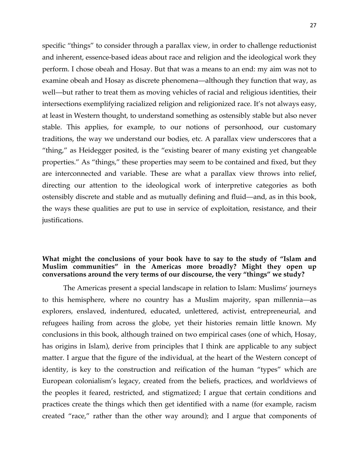specific "things" to consider through a parallax view, in order to challenge reductionist and inherent, essence-based ideas about race and religion and the ideological work they perform. I chose obeah and Hosay. But that was a means to an end: my aim was not to examine obeah and Hosay as discrete phenomena—although they function that way, as well—but rather to treat them as moving vehicles of racial and religious identities, their intersections exemplifying racialized religion and religionized race. It's not always easy, at least in Western thought, to understand something as ostensibly stable but also never stable. This applies, for example, to our notions of personhood, our customary traditions, the way we understand our bodies, etc. A parallax view underscores that a "thing," as Heidegger posited, is the "existing bearer of many existing yet changeable properties." As "things," these properties may seem to be contained and fixed, but they are interconnected and variable. These are what a parallax view throws into relief, directing our attention to the ideological work of interpretive categories as both ostensibly discrete and stable and as mutually defining and fluid—and, as in this book, the ways these qualities are put to use in service of exploitation, resistance, and their justifications.

## **What might the conclusions of your book have to say to the study of "Islam and Muslim communities" in the Americas more broadly? Might they open up conversations around the very terms of our discourse, the very "things" we study?**

The Americas present a special landscape in relation to Islam: Muslims' journeys to this hemisphere, where no country has a Muslim majority, span millennia—as explorers, enslaved, indentured, educated, unlettered, activist, entrepreneurial, and refugees hailing from across the globe, yet their histories remain little known. My conclusions in this book, although trained on two empirical cases (one of which, Hosay, has origins in Islam), derive from principles that I think are applicable to any subject matter. I argue that the figure of the individual, at the heart of the Western concept of identity, is key to the construction and reification of the human "types" which are European colonialism's legacy, created from the beliefs, practices, and worldviews of the peoples it feared, restricted, and stigmatized; I argue that certain conditions and practices create the things which then get identified with a name (for example, racism created "race," rather than the other way around); and I argue that components of